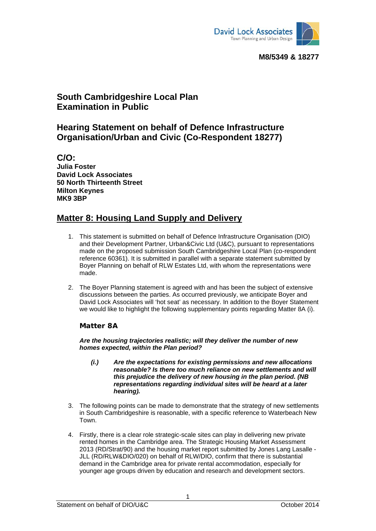

# **South Cambridgeshire Local Plan Examination in Public**

## **Hearing Statement on behalf of Defence Infrastructure Organisation/Urban and Civic (Co-Respondent 18277)**

**C/O: Julia Foster David Lock Associates 50 North Thirteenth Street Milton Keynes MK9 3BP** 

## **Matter 8: Housing Land Supply and Delivery**

- 1. This statement is submitted on behalf of Defence Infrastructure Organisation (DIO) and their Development Partner, Urban&Civic Ltd (U&C), pursuant to representations made on the proposed submission South Cambridgeshire Local Plan (co-respondent reference 60361). It is submitted in parallel with a separate statement submitted by Boyer Planning on behalf of RLW Estates Ltd, with whom the representations were made.
- 2. The Boyer Planning statement is agreed with and has been the subject of extensive discussions between the parties. As occurred previously, we anticipate Boyer and David Lock Associates will 'hot seat' as necessary. In addition to the Boyer Statement we would like to highlight the following supplementary points regarding Matter 8A (i).

### **Matter 8A**

*Are the housing trajectories realistic; will they deliver the number of new homes expected, within the Plan period?* 

- *(i.) Are the expectations for existing permissions and new allocations reasonable? Is there too much reliance on new settlements and will this prejudice the delivery of new housing in the plan period. (NB representations regarding individual sites will be heard at a later hearing).*
- 3. The following points can be made to demonstrate that the strategy of new settlements in South Cambridgeshire is reasonable, with a specific reference to Waterbeach New Town.
- 4. Firstly, there is a clear role strategic-scale sites can play in delivering new private rented homes in the Cambridge area. The Strategic Housing Market Assessment 2013 (RD/Strat/90) and the housing market report submitted by Jones Lang Lasalle - JLL (RD/RLW&DIO/020) on behalf of RLW/DIO, confirm that there is substantial demand in the Cambridge area for private rental accommodation, especially for younger age groups driven by education and research and development sectors.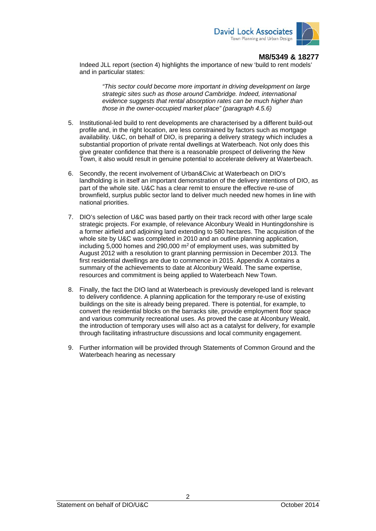

Indeed JLL report (section 4) highlights the importance of new 'build to rent models' and in particular states:

*"This sector could become more important in driving development on large strategic sites such as those around Cambridge. Indeed, international evidence suggests that rental absorption rates can be much higher than those in the owner-occupied market place" (paragraph 4.5.6)* 

- 5. Institutional-led build to rent developments are characterised by a different build-out profile and, in the right location, are less constrained by factors such as mortgage availability. U&C, on behalf of DIO, is preparing a delivery strategy which includes a substantial proportion of private rental dwellings at Waterbeach. Not only does this give greater confidence that there is a reasonable prospect of delivering the New Town, it also would result in genuine potential to accelerate delivery at Waterbeach.
- 6. Secondly, the recent involvement of Urban&Civic at Waterbeach on DIO's landholding is in itself an important demonstration of the delivery intentions of DIO, as part of the whole site. U&C has a clear remit to ensure the effective re-use of brownfield, surplus public sector land to deliver much needed new homes in line with national priorities.
- 7. DIO's selection of U&C was based partly on their track record with other large scale strategic projects. For example, of relevance Alconbury Weald in Huntingdonshire is a former airfield and adjoining land extending to 580 hectares. The acquisition of the whole site by U&C was completed in 2010 and an outline planning application, including 5,000 homes and 290,000  $m^2$  of employment uses, was submitted by August 2012 with a resolution to grant planning permission in December 2013. The first residential dwellings are due to commence in 2015. Appendix A contains a summary of the achievements to date at Alconbury Weald. The same expertise, resources and commitment is being applied to Waterbeach New Town.
- 8. Finally, the fact the DIO land at Waterbeach is previously developed land is relevant to delivery confidence. A planning application for the temporary re-use of existing buildings on the site is already being prepared. There is potential, for example, to convert the residential blocks on the barracks site, provide employment floor space and various community recreational uses. As proved the case at Alconbury Weald, the introduction of temporary uses will also act as a catalyst for delivery, for example through facilitating infrastructure discussions and local community engagement.
- 9. Further information will be provided through Statements of Common Ground and the Waterbeach hearing as necessary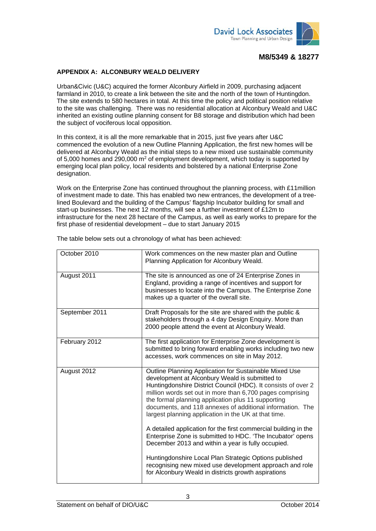

#### **APPENDIX A: ALCONBURY WEALD DELIVERY**

Urban&Civic (U&C) acquired the former Alconbury Airfield in 2009, purchasing adjacent farmland in 2010, to create a link between the site and the north of the town of Huntingdon. The site extends to 580 hectares in total. At this time the policy and political position relative to the site was challenging. There was no residential allocation at Alconbury Weald and U&C inherited an existing outline planning consent for B8 storage and distribution which had been the subject of vociferous local opposition.

In this context, it is all the more remarkable that in 2015, just five years after U&C commenced the evolution of a new Outline Planning Application, the first new homes will be delivered at Alconbury Weald as the initial steps to a new mixed use sustainable community of 5,000 homes and 290,000  $m^2$  of employment development, which today is supported by emerging local plan policy, local residents and bolstered by a national Enterprise Zone designation.

Work on the Enterprise Zone has continued throughout the planning process, with £11million of investment made to date. This has enabled two new entrances, the development of a treelined Boulevard and the building of the Campus' flagship Incubator building for small and start-up businesses. The next 12 months, will see a further investment of £12m to infrastructure for the next 28 hectare of the Campus, as well as early works to prepare for the first phase of residential development – due to start January 2015

| October 2010   | Work commences on the new master plan and Outline<br>Planning Application for Alconbury Weald.                                                                                                                                                                                                                                                                                                                                                                                                                                                     |
|----------------|----------------------------------------------------------------------------------------------------------------------------------------------------------------------------------------------------------------------------------------------------------------------------------------------------------------------------------------------------------------------------------------------------------------------------------------------------------------------------------------------------------------------------------------------------|
| August 2011    | The site is announced as one of 24 Enterprise Zones in<br>England, providing a range of incentives and support for<br>businesses to locate into the Campus. The Enterprise Zone<br>makes up a quarter of the overall site.                                                                                                                                                                                                                                                                                                                         |
| September 2011 | Draft Proposals for the site are shared with the public &<br>stakeholders through a 4 day Design Enquiry. More than<br>2000 people attend the event at Alconbury Weald.                                                                                                                                                                                                                                                                                                                                                                            |
| February 2012  | The first application for Enterprise Zone development is<br>submitted to bring forward enabling works including two new<br>accesses, work commences on site in May 2012.                                                                                                                                                                                                                                                                                                                                                                           |
| August 2012    | Outline Planning Application for Sustainable Mixed Use<br>development at Alconbury Weald is submitted to<br>Huntingdonshire District Council (HDC). It consists of over 2<br>million words set out in more than 6,700 pages comprising<br>the formal planning application plus 11 supporting<br>documents, and 118 annexes of additional information. The<br>largest planning application in the UK at that time.<br>A detailed application for the first commercial building in the<br>Enterprise Zone is submitted to HDC. 'The Incubator' opens |
|                | December 2013 and within a year is fully occupied.                                                                                                                                                                                                                                                                                                                                                                                                                                                                                                 |
|                | Huntingdonshire Local Plan Strategic Options published<br>recognising new mixed use development approach and role<br>for Alconbury Weald in districts growth aspirations                                                                                                                                                                                                                                                                                                                                                                           |

The table below sets out a chronology of what has been achieved:

3